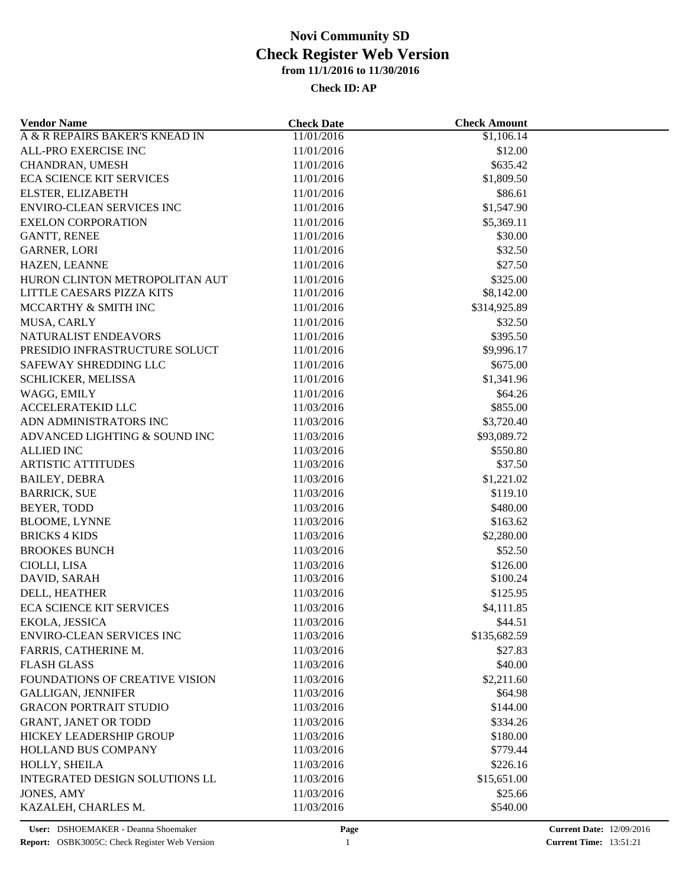| <b>Vendor Name</b>               | <b>Check Date</b> | <b>Check Amount</b>   |  |
|----------------------------------|-------------------|-----------------------|--|
| A & R REPAIRS BAKER'S KNEAD IN   | 11/01/2016        | $\overline{1,106.14}$ |  |
| ALL-PRO EXERCISE INC             | 11/01/2016        | \$12.00               |  |
| CHANDRAN, UMESH                  | 11/01/2016        | \$635.42              |  |
| ECA SCIENCE KIT SERVICES         | 11/01/2016        | \$1,809.50            |  |
| ELSTER, ELIZABETH                | 11/01/2016        | \$86.61               |  |
| ENVIRO-CLEAN SERVICES INC        | 11/01/2016        | \$1,547.90            |  |
| <b>EXELON CORPORATION</b>        | 11/01/2016        | \$5,369.11            |  |
| <b>GANTT, RENEE</b>              | 11/01/2016        | \$30.00               |  |
| <b>GARNER, LORI</b>              | 11/01/2016        | \$32.50               |  |
| HAZEN, LEANNE                    | 11/01/2016        | \$27.50               |  |
| HURON CLINTON METROPOLITAN AUT   | 11/01/2016        | \$325.00              |  |
| LITTLE CAESARS PIZZA KITS        | 11/01/2016        | \$8,142.00            |  |
| MCCARTHY & SMITH INC             | 11/01/2016        | \$314,925.89          |  |
| MUSA, CARLY                      | 11/01/2016        | \$32.50               |  |
| NATURALIST ENDEAVORS             | 11/01/2016        | \$395.50              |  |
| PRESIDIO INFRASTRUCTURE SOLUCT   | 11/01/2016        | \$9,996.17            |  |
| SAFEWAY SHREDDING LLC            | 11/01/2016        | \$675.00              |  |
| SCHLICKER, MELISSA               | 11/01/2016        | \$1,341.96            |  |
| WAGG, EMILY                      | 11/01/2016        | \$64.26               |  |
| <b>ACCELERATEKID LLC</b>         | 11/03/2016        | \$855.00              |  |
| ADN ADMINISTRATORS INC           | 11/03/2016        | \$3,720.40            |  |
| ADVANCED LIGHTING & SOUND INC    | 11/03/2016        | \$93,089.72           |  |
| <b>ALLIED INC</b>                | 11/03/2016        | \$550.80              |  |
| <b>ARTISTIC ATTITUDES</b>        | 11/03/2016        | \$37.50               |  |
| <b>BAILEY, DEBRA</b>             | 11/03/2016        | \$1,221.02            |  |
| <b>BARRICK, SUE</b>              | 11/03/2016        | \$119.10              |  |
| BEYER, TODD                      | 11/03/2016        | \$480.00              |  |
| <b>BLOOME, LYNNE</b>             | 11/03/2016        | \$163.62              |  |
| <b>BRICKS 4 KIDS</b>             | 11/03/2016        | \$2,280.00            |  |
| <b>BROOKES BUNCH</b>             |                   | \$52.50               |  |
|                                  | 11/03/2016        |                       |  |
| CIOLLI, LISA                     | 11/03/2016        | \$126.00              |  |
| DAVID, SARAH                     | 11/03/2016        | \$100.24              |  |
| DELL, HEATHER                    | 11/03/2016        | \$125.95              |  |
| <b>ECA SCIENCE KIT SERVICES</b>  | 11/03/2016        | \$4,111.85            |  |
| EKOLA, JESSICA                   | 11/03/2016        | \$44.51               |  |
| <b>ENVIRO-CLEAN SERVICES INC</b> | 11/03/2016        | \$135,682.59          |  |
| FARRIS, CATHERINE M.             | 11/03/2016        | \$27.83               |  |
| <b>FLASH GLASS</b>               | 11/03/2016        | \$40.00               |  |
| FOUNDATIONS OF CREATIVE VISION   | 11/03/2016        | \$2,211.60            |  |
| <b>GALLIGAN, JENNIFER</b>        | 11/03/2016        | \$64.98               |  |
| <b>GRACON PORTRAIT STUDIO</b>    | 11/03/2016        | \$144.00              |  |
| <b>GRANT, JANET OR TODD</b>      | 11/03/2016        | \$334.26              |  |
| HICKEY LEADERSHIP GROUP          | 11/03/2016        | \$180.00              |  |
| HOLLAND BUS COMPANY              | 11/03/2016        | \$779.44              |  |
| HOLLY, SHEILA                    | 11/03/2016        | \$226.16              |  |
| INTEGRATED DESIGN SOLUTIONS LL   | 11/03/2016        | \$15,651.00           |  |
| JONES, AMY                       | 11/03/2016        | \$25.66               |  |
| KAZALEH, CHARLES M.              | 11/03/2016        | \$540.00              |  |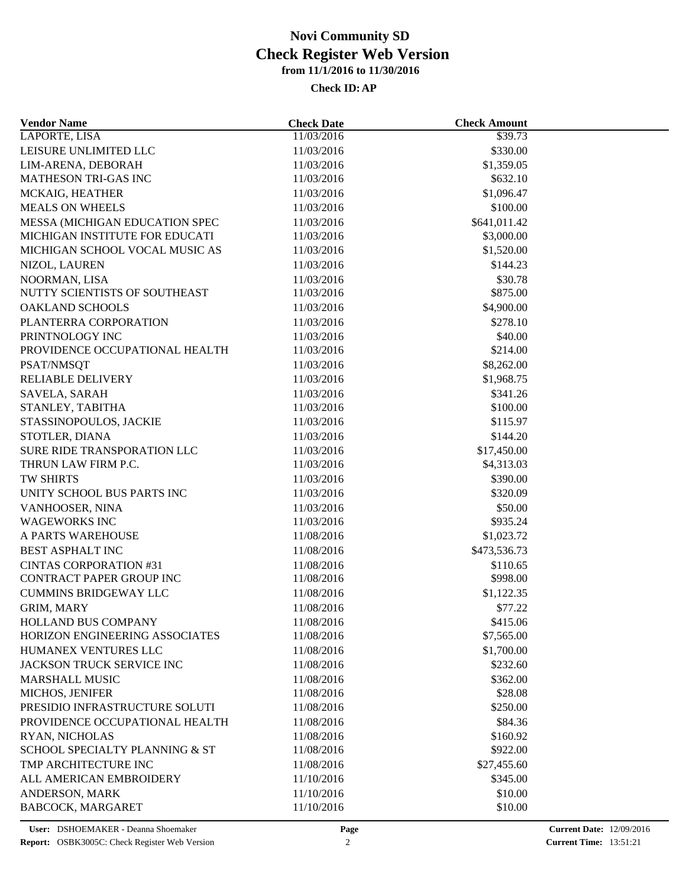| <b>Vendor Name</b>                 | <b>Check Date</b> | <b>Check Amount</b> |  |
|------------------------------------|-------------------|---------------------|--|
| LAPORTE, LISA                      | 11/03/2016        | \$39.73             |  |
| LEISURE UNLIMITED LLC              | 11/03/2016        | \$330.00            |  |
| LIM-ARENA, DEBORAH                 | 11/03/2016        | \$1,359.05          |  |
| MATHESON TRI-GAS INC               | 11/03/2016        | \$632.10            |  |
| MCKAIG, HEATHER                    | 11/03/2016        | \$1,096.47          |  |
| <b>MEALS ON WHEELS</b>             | 11/03/2016        | \$100.00            |  |
| MESSA (MICHIGAN EDUCATION SPEC     | 11/03/2016        | \$641,011.42        |  |
| MICHIGAN INSTITUTE FOR EDUCATI     | 11/03/2016        | \$3,000.00          |  |
| MICHIGAN SCHOOL VOCAL MUSIC AS     | 11/03/2016        | \$1,520.00          |  |
| NIZOL, LAUREN                      | 11/03/2016        | \$144.23            |  |
| NOORMAN, LISA                      | 11/03/2016        | \$30.78             |  |
| NUTTY SCIENTISTS OF SOUTHEAST      | 11/03/2016        | \$875.00            |  |
| <b>OAKLAND SCHOOLS</b>             | 11/03/2016        | \$4,900.00          |  |
| PLANTERRA CORPORATION              | 11/03/2016        | \$278.10            |  |
| PRINTNOLOGY INC                    | 11/03/2016        | \$40.00             |  |
| PROVIDENCE OCCUPATIONAL HEALTH     | 11/03/2016        | \$214.00            |  |
| PSAT/NMSQT                         | 11/03/2016        | \$8,262.00          |  |
| RELIABLE DELIVERY                  | 11/03/2016        | \$1,968.75          |  |
| SAVELA, SARAH                      | 11/03/2016        | \$341.26            |  |
| STANLEY, TABITHA                   | 11/03/2016        | \$100.00            |  |
| STASSINOPOULOS, JACKIE             | 11/03/2016        | \$115.97            |  |
| STOTLER, DIANA                     | 11/03/2016        | \$144.20            |  |
| <b>SURE RIDE TRANSPORATION LLC</b> | 11/03/2016        | \$17,450.00         |  |
| THRUN LAW FIRM P.C.                | 11/03/2016        | \$4,313.03          |  |
| TW SHIRTS                          | 11/03/2016        | \$390.00            |  |
| UNITY SCHOOL BUS PARTS INC         | 11/03/2016        | \$320.09            |  |
| VANHOOSER, NINA                    | 11/03/2016        | \$50.00             |  |
| <b>WAGEWORKS INC</b>               | 11/03/2016        | \$935.24            |  |
| A PARTS WAREHOUSE                  | 11/08/2016        | \$1,023.72          |  |
| <b>BEST ASPHALT INC</b>            | 11/08/2016        | \$473,536.73        |  |
| <b>CINTAS CORPORATION #31</b>      | 11/08/2016        | \$110.65            |  |
| CONTRACT PAPER GROUP INC           | 11/08/2016        | \$998.00            |  |
| <b>CUMMINS BRIDGEWAY LLC</b>       | 11/08/2016        | \$1,122.35          |  |
| GRIM, MARY                         | 11/08/2016        | \$77.22             |  |
| HOLLAND BUS COMPANY                | 11/08/2016        | \$415.06            |  |
| HORIZON ENGINEERING ASSOCIATES     | 11/08/2016        | \$7,565.00          |  |
| HUMANEX VENTURES LLC               | 11/08/2016        | \$1,700.00          |  |
| JACKSON TRUCK SERVICE INC          | 11/08/2016        | \$232.60            |  |
| MARSHALL MUSIC                     | 11/08/2016        | \$362.00            |  |
| MICHOS, JENIFER                    | 11/08/2016        | \$28.08             |  |
| PRESIDIO INFRASTRUCTURE SOLUTI     | 11/08/2016        | \$250.00            |  |
|                                    | 11/08/2016        | \$84.36             |  |
| PROVIDENCE OCCUPATIONAL HEALTH     |                   |                     |  |
| RYAN, NICHOLAS                     | 11/08/2016        | \$160.92            |  |
| SCHOOL SPECIALTY PLANNING & ST     | 11/08/2016        | \$922.00            |  |
| TMP ARCHITECTURE INC               | 11/08/2016        | \$27,455.60         |  |
| ALL AMERICAN EMBROIDERY            | 11/10/2016        | \$345.00            |  |
| ANDERSON, MARK                     | 11/10/2016        | \$10.00             |  |
| BABCOCK, MARGARET                  | 11/10/2016        | \$10.00             |  |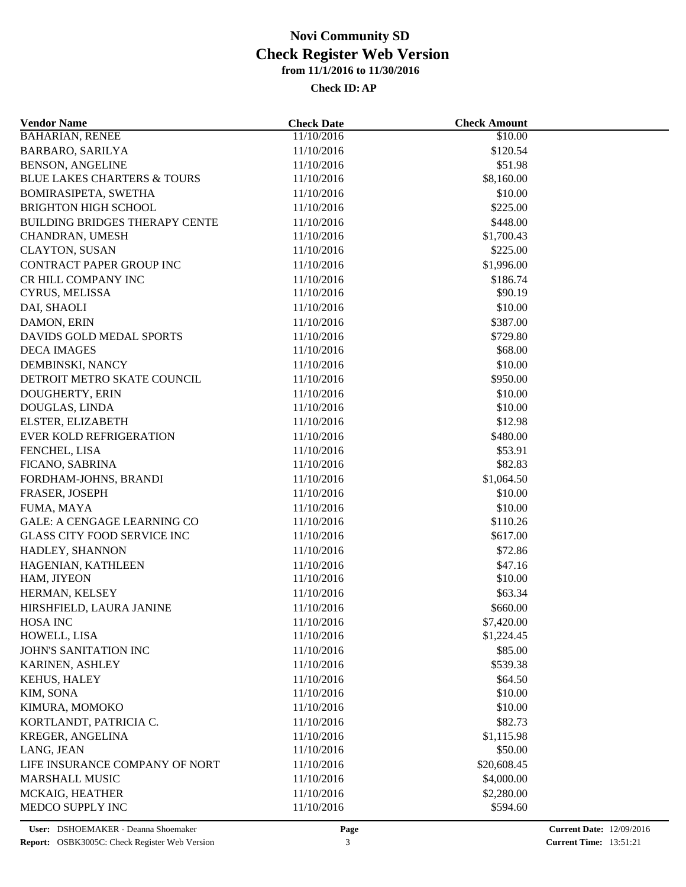| <b>BAHARIAN, RENEE</b><br>11/10/2016<br>\$10.00<br>\$120.54<br>11/10/2016<br>11/10/2016<br>\$51.98<br>11/10/2016<br>\$8,160.00<br>11/10/2016<br>\$10.00<br>\$225.00<br>11/10/2016<br>11/10/2016<br>\$448.00<br>11/10/2016<br>\$1,700.43<br>\$225.00<br>11/10/2016<br>\$1,996.00<br>11/10/2016<br>CR HILL COMPANY INC<br>\$186.74<br>11/10/2016<br>CYRUS, MELISSA<br>11/10/2016<br>\$90.19<br>\$10.00<br>DAI, SHAOLI<br>11/10/2016<br>\$387.00<br>DAMON, ERIN<br>11/10/2016<br>DAVIDS GOLD MEDAL SPORTS<br>11/10/2016<br>\$729.80<br>\$68.00<br><b>DECA IMAGES</b><br>11/10/2016<br>\$10.00<br>DEMBINSKI, NANCY<br>11/10/2016<br>DETROIT METRO SKATE COUNCIL<br>\$950.00<br>11/10/2016<br>DOUGHERTY, ERIN<br>11/10/2016<br>\$10.00<br>\$10.00<br>DOUGLAS, LINDA<br>11/10/2016<br>\$12.98<br>11/10/2016<br>ELSTER, ELIZABETH<br><b>EVER KOLD REFRIGERATION</b><br>11/10/2016<br>\$480.00<br>FENCHEL, LISA<br>11/10/2016<br>\$53.91<br>\$82.83<br>11/10/2016<br>FICANO, SABRINA<br>FORDHAM-JOHNS, BRANDI<br>11/10/2016<br>\$1,064.50<br>\$10.00<br>FRASER, JOSEPH<br>11/10/2016<br>\$10.00<br>FUMA, MAYA<br>11/10/2016<br>GALE: A CENGAGE LEARNING CO<br>11/10/2016<br>\$110.26<br><b>GLASS CITY FOOD SERVICE INC</b><br>11/10/2016<br>\$617.00<br>HADLEY, SHANNON<br>11/10/2016<br>\$72.86<br>HAGENIAN, KATHLEEN<br>11/10/2016<br>\$47.16<br>HAM, JIYEON<br>11/10/2016<br>\$10.00<br>HERMAN, KELSEY<br>11/10/2016<br>\$63.34<br>HIRSHFIELD, LAURA JANINE<br>\$660.00<br>11/10/2016<br>\$7,420.00<br>HOSA INC<br>11/10/2016<br>HOWELL, LISA<br>11/10/2016<br>\$1,224.45<br>JOHN'S SANITATION INC<br>\$85.00<br>11/10/2016<br>\$539.38<br>KARINEN, ASHLEY<br>11/10/2016<br>11/10/2016<br>\$64.50<br>KEHUS, HALEY<br>\$10.00<br>KIM, SONA<br>11/10/2016<br>\$10.00<br>KIMURA, MOMOKO<br>11/10/2016<br>\$82.73<br>11/10/2016<br>11/10/2016<br>\$1,115.98<br>11/10/2016<br>\$50.00<br>11/10/2016<br>\$20,608.45<br>11/10/2016<br>\$4,000.00<br>11/10/2016<br>\$2,280.00 | <b>Vendor Name</b>                     | <b>Check Date</b> | <b>Check Amount</b> |  |
|------------------------------------------------------------------------------------------------------------------------------------------------------------------------------------------------------------------------------------------------------------------------------------------------------------------------------------------------------------------------------------------------------------------------------------------------------------------------------------------------------------------------------------------------------------------------------------------------------------------------------------------------------------------------------------------------------------------------------------------------------------------------------------------------------------------------------------------------------------------------------------------------------------------------------------------------------------------------------------------------------------------------------------------------------------------------------------------------------------------------------------------------------------------------------------------------------------------------------------------------------------------------------------------------------------------------------------------------------------------------------------------------------------------------------------------------------------------------------------------------------------------------------------------------------------------------------------------------------------------------------------------------------------------------------------------------------------------------------------------------------------------------------------------------------------------------------------------------------------------------------------------------------------------------------------------------------------------|----------------------------------------|-------------------|---------------------|--|
|                                                                                                                                                                                                                                                                                                                                                                                                                                                                                                                                                                                                                                                                                                                                                                                                                                                                                                                                                                                                                                                                                                                                                                                                                                                                                                                                                                                                                                                                                                                                                                                                                                                                                                                                                                                                                                                                                                                                                                  |                                        |                   |                     |  |
|                                                                                                                                                                                                                                                                                                                                                                                                                                                                                                                                                                                                                                                                                                                                                                                                                                                                                                                                                                                                                                                                                                                                                                                                                                                                                                                                                                                                                                                                                                                                                                                                                                                                                                                                                                                                                                                                                                                                                                  | <b>BARBARO, SARILYA</b>                |                   |                     |  |
|                                                                                                                                                                                                                                                                                                                                                                                                                                                                                                                                                                                                                                                                                                                                                                                                                                                                                                                                                                                                                                                                                                                                                                                                                                                                                                                                                                                                                                                                                                                                                                                                                                                                                                                                                                                                                                                                                                                                                                  | <b>BENSON, ANGELINE</b>                |                   |                     |  |
|                                                                                                                                                                                                                                                                                                                                                                                                                                                                                                                                                                                                                                                                                                                                                                                                                                                                                                                                                                                                                                                                                                                                                                                                                                                                                                                                                                                                                                                                                                                                                                                                                                                                                                                                                                                                                                                                                                                                                                  | <b>BLUE LAKES CHARTERS &amp; TOURS</b> |                   |                     |  |
|                                                                                                                                                                                                                                                                                                                                                                                                                                                                                                                                                                                                                                                                                                                                                                                                                                                                                                                                                                                                                                                                                                                                                                                                                                                                                                                                                                                                                                                                                                                                                                                                                                                                                                                                                                                                                                                                                                                                                                  | <b>BOMIRASIPETA, SWETHA</b>            |                   |                     |  |
|                                                                                                                                                                                                                                                                                                                                                                                                                                                                                                                                                                                                                                                                                                                                                                                                                                                                                                                                                                                                                                                                                                                                                                                                                                                                                                                                                                                                                                                                                                                                                                                                                                                                                                                                                                                                                                                                                                                                                                  | <b>BRIGHTON HIGH SCHOOL</b>            |                   |                     |  |
|                                                                                                                                                                                                                                                                                                                                                                                                                                                                                                                                                                                                                                                                                                                                                                                                                                                                                                                                                                                                                                                                                                                                                                                                                                                                                                                                                                                                                                                                                                                                                                                                                                                                                                                                                                                                                                                                                                                                                                  | BUILDING BRIDGES THERAPY CENTE         |                   |                     |  |
|                                                                                                                                                                                                                                                                                                                                                                                                                                                                                                                                                                                                                                                                                                                                                                                                                                                                                                                                                                                                                                                                                                                                                                                                                                                                                                                                                                                                                                                                                                                                                                                                                                                                                                                                                                                                                                                                                                                                                                  | CHANDRAN, UMESH                        |                   |                     |  |
|                                                                                                                                                                                                                                                                                                                                                                                                                                                                                                                                                                                                                                                                                                                                                                                                                                                                                                                                                                                                                                                                                                                                                                                                                                                                                                                                                                                                                                                                                                                                                                                                                                                                                                                                                                                                                                                                                                                                                                  | <b>CLAYTON, SUSAN</b>                  |                   |                     |  |
|                                                                                                                                                                                                                                                                                                                                                                                                                                                                                                                                                                                                                                                                                                                                                                                                                                                                                                                                                                                                                                                                                                                                                                                                                                                                                                                                                                                                                                                                                                                                                                                                                                                                                                                                                                                                                                                                                                                                                                  | <b>CONTRACT PAPER GROUP INC</b>        |                   |                     |  |
|                                                                                                                                                                                                                                                                                                                                                                                                                                                                                                                                                                                                                                                                                                                                                                                                                                                                                                                                                                                                                                                                                                                                                                                                                                                                                                                                                                                                                                                                                                                                                                                                                                                                                                                                                                                                                                                                                                                                                                  |                                        |                   |                     |  |
|                                                                                                                                                                                                                                                                                                                                                                                                                                                                                                                                                                                                                                                                                                                                                                                                                                                                                                                                                                                                                                                                                                                                                                                                                                                                                                                                                                                                                                                                                                                                                                                                                                                                                                                                                                                                                                                                                                                                                                  |                                        |                   |                     |  |
|                                                                                                                                                                                                                                                                                                                                                                                                                                                                                                                                                                                                                                                                                                                                                                                                                                                                                                                                                                                                                                                                                                                                                                                                                                                                                                                                                                                                                                                                                                                                                                                                                                                                                                                                                                                                                                                                                                                                                                  |                                        |                   |                     |  |
|                                                                                                                                                                                                                                                                                                                                                                                                                                                                                                                                                                                                                                                                                                                                                                                                                                                                                                                                                                                                                                                                                                                                                                                                                                                                                                                                                                                                                                                                                                                                                                                                                                                                                                                                                                                                                                                                                                                                                                  |                                        |                   |                     |  |
|                                                                                                                                                                                                                                                                                                                                                                                                                                                                                                                                                                                                                                                                                                                                                                                                                                                                                                                                                                                                                                                                                                                                                                                                                                                                                                                                                                                                                                                                                                                                                                                                                                                                                                                                                                                                                                                                                                                                                                  |                                        |                   |                     |  |
|                                                                                                                                                                                                                                                                                                                                                                                                                                                                                                                                                                                                                                                                                                                                                                                                                                                                                                                                                                                                                                                                                                                                                                                                                                                                                                                                                                                                                                                                                                                                                                                                                                                                                                                                                                                                                                                                                                                                                                  |                                        |                   |                     |  |
|                                                                                                                                                                                                                                                                                                                                                                                                                                                                                                                                                                                                                                                                                                                                                                                                                                                                                                                                                                                                                                                                                                                                                                                                                                                                                                                                                                                                                                                                                                                                                                                                                                                                                                                                                                                                                                                                                                                                                                  |                                        |                   |                     |  |
|                                                                                                                                                                                                                                                                                                                                                                                                                                                                                                                                                                                                                                                                                                                                                                                                                                                                                                                                                                                                                                                                                                                                                                                                                                                                                                                                                                                                                                                                                                                                                                                                                                                                                                                                                                                                                                                                                                                                                                  |                                        |                   |                     |  |
|                                                                                                                                                                                                                                                                                                                                                                                                                                                                                                                                                                                                                                                                                                                                                                                                                                                                                                                                                                                                                                                                                                                                                                                                                                                                                                                                                                                                                                                                                                                                                                                                                                                                                                                                                                                                                                                                                                                                                                  |                                        |                   |                     |  |
|                                                                                                                                                                                                                                                                                                                                                                                                                                                                                                                                                                                                                                                                                                                                                                                                                                                                                                                                                                                                                                                                                                                                                                                                                                                                                                                                                                                                                                                                                                                                                                                                                                                                                                                                                                                                                                                                                                                                                                  |                                        |                   |                     |  |
|                                                                                                                                                                                                                                                                                                                                                                                                                                                                                                                                                                                                                                                                                                                                                                                                                                                                                                                                                                                                                                                                                                                                                                                                                                                                                                                                                                                                                                                                                                                                                                                                                                                                                                                                                                                                                                                                                                                                                                  |                                        |                   |                     |  |
|                                                                                                                                                                                                                                                                                                                                                                                                                                                                                                                                                                                                                                                                                                                                                                                                                                                                                                                                                                                                                                                                                                                                                                                                                                                                                                                                                                                                                                                                                                                                                                                                                                                                                                                                                                                                                                                                                                                                                                  |                                        |                   |                     |  |
|                                                                                                                                                                                                                                                                                                                                                                                                                                                                                                                                                                                                                                                                                                                                                                                                                                                                                                                                                                                                                                                                                                                                                                                                                                                                                                                                                                                                                                                                                                                                                                                                                                                                                                                                                                                                                                                                                                                                                                  |                                        |                   |                     |  |
|                                                                                                                                                                                                                                                                                                                                                                                                                                                                                                                                                                                                                                                                                                                                                                                                                                                                                                                                                                                                                                                                                                                                                                                                                                                                                                                                                                                                                                                                                                                                                                                                                                                                                                                                                                                                                                                                                                                                                                  |                                        |                   |                     |  |
|                                                                                                                                                                                                                                                                                                                                                                                                                                                                                                                                                                                                                                                                                                                                                                                                                                                                                                                                                                                                                                                                                                                                                                                                                                                                                                                                                                                                                                                                                                                                                                                                                                                                                                                                                                                                                                                                                                                                                                  |                                        |                   |                     |  |
|                                                                                                                                                                                                                                                                                                                                                                                                                                                                                                                                                                                                                                                                                                                                                                                                                                                                                                                                                                                                                                                                                                                                                                                                                                                                                                                                                                                                                                                                                                                                                                                                                                                                                                                                                                                                                                                                                                                                                                  |                                        |                   |                     |  |
|                                                                                                                                                                                                                                                                                                                                                                                                                                                                                                                                                                                                                                                                                                                                                                                                                                                                                                                                                                                                                                                                                                                                                                                                                                                                                                                                                                                                                                                                                                                                                                                                                                                                                                                                                                                                                                                                                                                                                                  |                                        |                   |                     |  |
|                                                                                                                                                                                                                                                                                                                                                                                                                                                                                                                                                                                                                                                                                                                                                                                                                                                                                                                                                                                                                                                                                                                                                                                                                                                                                                                                                                                                                                                                                                                                                                                                                                                                                                                                                                                                                                                                                                                                                                  |                                        |                   |                     |  |
|                                                                                                                                                                                                                                                                                                                                                                                                                                                                                                                                                                                                                                                                                                                                                                                                                                                                                                                                                                                                                                                                                                                                                                                                                                                                                                                                                                                                                                                                                                                                                                                                                                                                                                                                                                                                                                                                                                                                                                  |                                        |                   |                     |  |
|                                                                                                                                                                                                                                                                                                                                                                                                                                                                                                                                                                                                                                                                                                                                                                                                                                                                                                                                                                                                                                                                                                                                                                                                                                                                                                                                                                                                                                                                                                                                                                                                                                                                                                                                                                                                                                                                                                                                                                  |                                        |                   |                     |  |
|                                                                                                                                                                                                                                                                                                                                                                                                                                                                                                                                                                                                                                                                                                                                                                                                                                                                                                                                                                                                                                                                                                                                                                                                                                                                                                                                                                                                                                                                                                                                                                                                                                                                                                                                                                                                                                                                                                                                                                  |                                        |                   |                     |  |
|                                                                                                                                                                                                                                                                                                                                                                                                                                                                                                                                                                                                                                                                                                                                                                                                                                                                                                                                                                                                                                                                                                                                                                                                                                                                                                                                                                                                                                                                                                                                                                                                                                                                                                                                                                                                                                                                                                                                                                  |                                        |                   |                     |  |
|                                                                                                                                                                                                                                                                                                                                                                                                                                                                                                                                                                                                                                                                                                                                                                                                                                                                                                                                                                                                                                                                                                                                                                                                                                                                                                                                                                                                                                                                                                                                                                                                                                                                                                                                                                                                                                                                                                                                                                  |                                        |                   |                     |  |
|                                                                                                                                                                                                                                                                                                                                                                                                                                                                                                                                                                                                                                                                                                                                                                                                                                                                                                                                                                                                                                                                                                                                                                                                                                                                                                                                                                                                                                                                                                                                                                                                                                                                                                                                                                                                                                                                                                                                                                  |                                        |                   |                     |  |
|                                                                                                                                                                                                                                                                                                                                                                                                                                                                                                                                                                                                                                                                                                                                                                                                                                                                                                                                                                                                                                                                                                                                                                                                                                                                                                                                                                                                                                                                                                                                                                                                                                                                                                                                                                                                                                                                                                                                                                  |                                        |                   |                     |  |
|                                                                                                                                                                                                                                                                                                                                                                                                                                                                                                                                                                                                                                                                                                                                                                                                                                                                                                                                                                                                                                                                                                                                                                                                                                                                                                                                                                                                                                                                                                                                                                                                                                                                                                                                                                                                                                                                                                                                                                  |                                        |                   |                     |  |
|                                                                                                                                                                                                                                                                                                                                                                                                                                                                                                                                                                                                                                                                                                                                                                                                                                                                                                                                                                                                                                                                                                                                                                                                                                                                                                                                                                                                                                                                                                                                                                                                                                                                                                                                                                                                                                                                                                                                                                  |                                        |                   |                     |  |
|                                                                                                                                                                                                                                                                                                                                                                                                                                                                                                                                                                                                                                                                                                                                                                                                                                                                                                                                                                                                                                                                                                                                                                                                                                                                                                                                                                                                                                                                                                                                                                                                                                                                                                                                                                                                                                                                                                                                                                  |                                        |                   |                     |  |
|                                                                                                                                                                                                                                                                                                                                                                                                                                                                                                                                                                                                                                                                                                                                                                                                                                                                                                                                                                                                                                                                                                                                                                                                                                                                                                                                                                                                                                                                                                                                                                                                                                                                                                                                                                                                                                                                                                                                                                  |                                        |                   |                     |  |
|                                                                                                                                                                                                                                                                                                                                                                                                                                                                                                                                                                                                                                                                                                                                                                                                                                                                                                                                                                                                                                                                                                                                                                                                                                                                                                                                                                                                                                                                                                                                                                                                                                                                                                                                                                                                                                                                                                                                                                  |                                        |                   |                     |  |
|                                                                                                                                                                                                                                                                                                                                                                                                                                                                                                                                                                                                                                                                                                                                                                                                                                                                                                                                                                                                                                                                                                                                                                                                                                                                                                                                                                                                                                                                                                                                                                                                                                                                                                                                                                                                                                                                                                                                                                  |                                        |                   |                     |  |
|                                                                                                                                                                                                                                                                                                                                                                                                                                                                                                                                                                                                                                                                                                                                                                                                                                                                                                                                                                                                                                                                                                                                                                                                                                                                                                                                                                                                                                                                                                                                                                                                                                                                                                                                                                                                                                                                                                                                                                  |                                        |                   |                     |  |
|                                                                                                                                                                                                                                                                                                                                                                                                                                                                                                                                                                                                                                                                                                                                                                                                                                                                                                                                                                                                                                                                                                                                                                                                                                                                                                                                                                                                                                                                                                                                                                                                                                                                                                                                                                                                                                                                                                                                                                  | KORTLANDT, PATRICIA C.                 |                   |                     |  |
|                                                                                                                                                                                                                                                                                                                                                                                                                                                                                                                                                                                                                                                                                                                                                                                                                                                                                                                                                                                                                                                                                                                                                                                                                                                                                                                                                                                                                                                                                                                                                                                                                                                                                                                                                                                                                                                                                                                                                                  | KREGER, ANGELINA                       |                   |                     |  |
|                                                                                                                                                                                                                                                                                                                                                                                                                                                                                                                                                                                                                                                                                                                                                                                                                                                                                                                                                                                                                                                                                                                                                                                                                                                                                                                                                                                                                                                                                                                                                                                                                                                                                                                                                                                                                                                                                                                                                                  | LANG, JEAN                             |                   |                     |  |
|                                                                                                                                                                                                                                                                                                                                                                                                                                                                                                                                                                                                                                                                                                                                                                                                                                                                                                                                                                                                                                                                                                                                                                                                                                                                                                                                                                                                                                                                                                                                                                                                                                                                                                                                                                                                                                                                                                                                                                  | LIFE INSURANCE COMPANY OF NORT         |                   |                     |  |
|                                                                                                                                                                                                                                                                                                                                                                                                                                                                                                                                                                                                                                                                                                                                                                                                                                                                                                                                                                                                                                                                                                                                                                                                                                                                                                                                                                                                                                                                                                                                                                                                                                                                                                                                                                                                                                                                                                                                                                  | <b>MARSHALL MUSIC</b>                  |                   |                     |  |
|                                                                                                                                                                                                                                                                                                                                                                                                                                                                                                                                                                                                                                                                                                                                                                                                                                                                                                                                                                                                                                                                                                                                                                                                                                                                                                                                                                                                                                                                                                                                                                                                                                                                                                                                                                                                                                                                                                                                                                  | MCKAIG, HEATHER                        |                   |                     |  |
|                                                                                                                                                                                                                                                                                                                                                                                                                                                                                                                                                                                                                                                                                                                                                                                                                                                                                                                                                                                                                                                                                                                                                                                                                                                                                                                                                                                                                                                                                                                                                                                                                                                                                                                                                                                                                                                                                                                                                                  | MEDCO SUPPLY INC                       | 11/10/2016        | \$594.60            |  |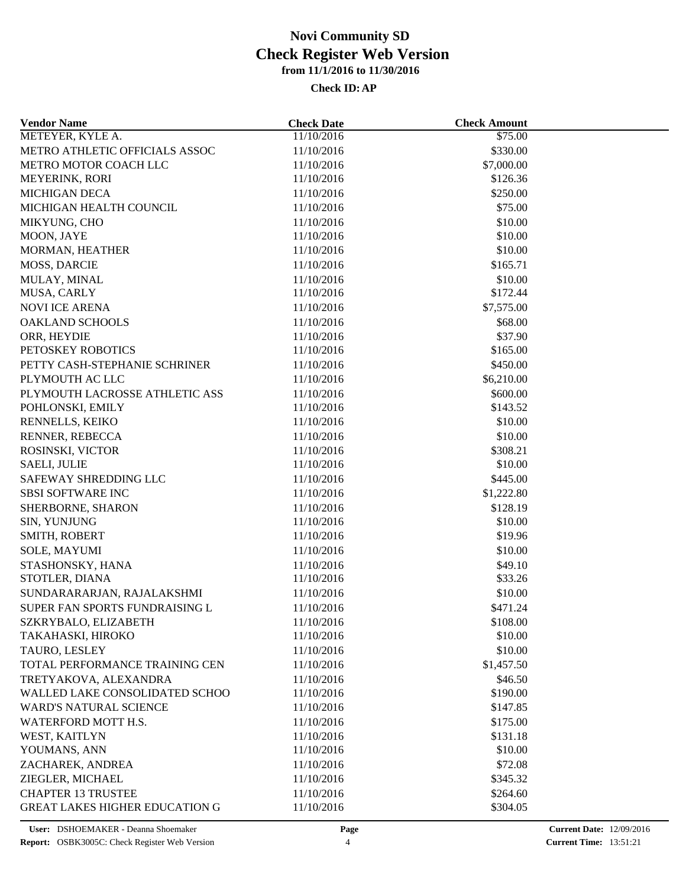| <b>Vendor Name</b>                    | <b>Check Date</b> | <b>Check Amount</b> |  |
|---------------------------------------|-------------------|---------------------|--|
| METEYER, KYLE A.                      | 11/10/2016        | \$75.00             |  |
| METRO ATHLETIC OFFICIALS ASSOC        | 11/10/2016        | \$330.00            |  |
| METRO MOTOR COACH LLC                 | 11/10/2016        | \$7,000.00          |  |
| MEYERINK, RORI                        | 11/10/2016        | \$126.36            |  |
| <b>MICHIGAN DECA</b>                  | 11/10/2016        | \$250.00            |  |
| MICHIGAN HEALTH COUNCIL               | 11/10/2016        | \$75.00             |  |
| MIKYUNG, CHO                          | 11/10/2016        | \$10.00             |  |
| MOON, JAYE                            | 11/10/2016        | \$10.00             |  |
| MORMAN, HEATHER                       | 11/10/2016        | \$10.00             |  |
| <b>MOSS, DARCIE</b>                   | 11/10/2016        | \$165.71            |  |
| MULAY, MINAL                          | 11/10/2016        | \$10.00             |  |
| MUSA, CARLY                           | 11/10/2016        | \$172.44            |  |
| <b>NOVI ICE ARENA</b>                 | 11/10/2016        | \$7,575.00          |  |
| <b>OAKLAND SCHOOLS</b>                | 11/10/2016        | \$68.00             |  |
| ORR, HEYDIE                           | 11/10/2016        | \$37.90             |  |
| PETOSKEY ROBOTICS                     | 11/10/2016        | \$165.00            |  |
| PETTY CASH-STEPHANIE SCHRINER         | 11/10/2016        | \$450.00            |  |
| PLYMOUTH AC LLC                       | 11/10/2016        | \$6,210.00          |  |
| PLYMOUTH LACROSSE ATHLETIC ASS        | 11/10/2016        | \$600.00            |  |
| POHLONSKI, EMILY                      | 11/10/2016        | \$143.52            |  |
| RENNELLS, KEIKO                       | 11/10/2016        | \$10.00             |  |
| RENNER, REBECCA                       | 11/10/2016        | \$10.00             |  |
| ROSINSKI, VICTOR                      | 11/10/2016        | \$308.21            |  |
| SAELI, JULIE                          | 11/10/2016        | \$10.00             |  |
| SAFEWAY SHREDDING LLC                 | 11/10/2016        | \$445.00            |  |
| <b>SBSI SOFTWARE INC</b>              | 11/10/2016        | \$1,222.80          |  |
| SHERBORNE, SHARON                     | 11/10/2016        | \$128.19            |  |
| SIN, YUNJUNG                          | 11/10/2016        | \$10.00             |  |
| SMITH, ROBERT                         | 11/10/2016        | \$19.96             |  |
| SOLE, MAYUMI                          | 11/10/2016        | \$10.00             |  |
| STASHONSKY, HANA                      | 11/10/2016        | \$49.10             |  |
| STOTLER, DIANA                        | 11/10/2016        | \$33.26             |  |
| SUNDARARARJAN, RAJALAKSHMI            | 11/10/2016        | \$10.00             |  |
| SUPER FAN SPORTS FUNDRAISING L        | 11/10/2016        | \$471.24            |  |
| SZKRYBALO, ELIZABETH                  | 11/10/2016        | \$108.00            |  |
| TAKAHASKI, HIROKO                     | 11/10/2016        | \$10.00             |  |
| TAURO, LESLEY                         | 11/10/2016        | \$10.00             |  |
| TOTAL PERFORMANCE TRAINING CEN        | 11/10/2016        | \$1,457.50          |  |
| TRETYAKOVA, ALEXANDRA                 | 11/10/2016        | \$46.50             |  |
| WALLED LAKE CONSOLIDATED SCHOO        | 11/10/2016        | \$190.00            |  |
| <b>WARD'S NATURAL SCIENCE</b>         | 11/10/2016        | \$147.85            |  |
| WATERFORD MOTT H.S.                   | 11/10/2016        |                     |  |
|                                       |                   | \$175.00            |  |
| WEST, KAITLYN                         | 11/10/2016        | \$131.18            |  |
| YOUMANS, ANN                          | 11/10/2016        | \$10.00             |  |
| ZACHAREK, ANDREA                      | 11/10/2016        | \$72.08             |  |
| ZIEGLER, MICHAEL                      | 11/10/2016        | \$345.32            |  |
| <b>CHAPTER 13 TRUSTEE</b>             | 11/10/2016        | \$264.60            |  |
| <b>GREAT LAKES HIGHER EDUCATION G</b> | 11/10/2016        | \$304.05            |  |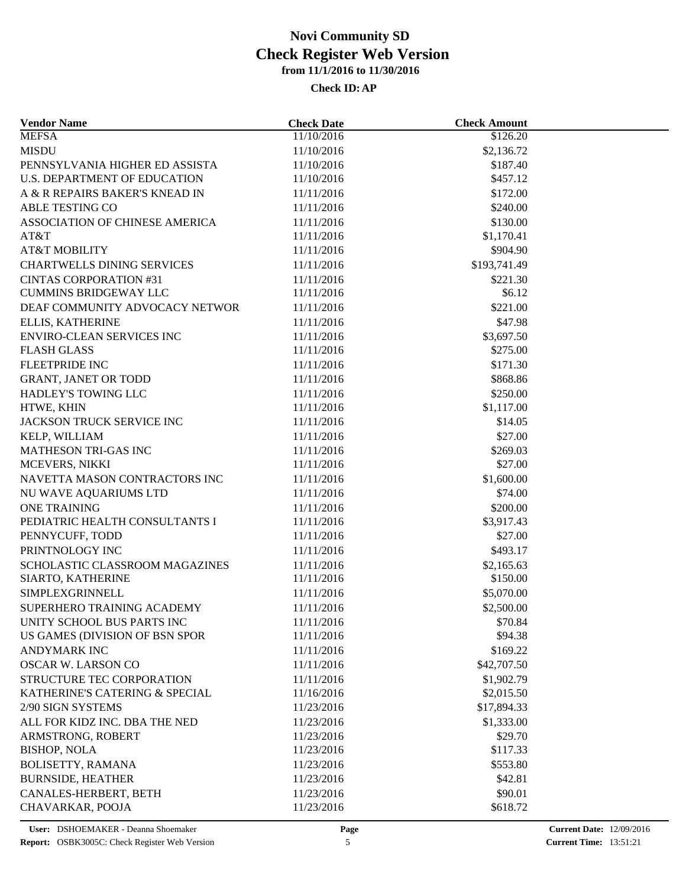| <b>Vendor Name</b>                | <b>Check Date</b> | <b>Check Amount</b> |  |
|-----------------------------------|-------------------|---------------------|--|
| <b>MEFSA</b>                      | 11/10/2016        | \$126.20            |  |
| <b>MISDU</b>                      | 11/10/2016        | \$2,136.72          |  |
| PENNSYLVANIA HIGHER ED ASSISTA    | 11/10/2016        | \$187.40            |  |
| U.S. DEPARTMENT OF EDUCATION      | 11/10/2016        | \$457.12            |  |
| A & R REPAIRS BAKER'S KNEAD IN    | 11/11/2016        | \$172.00            |  |
| ABLE TESTING CO                   | 11/11/2016        | \$240.00            |  |
| ASSOCIATION OF CHINESE AMERICA    | 11/11/2016        | \$130.00            |  |
| AT&T                              | 11/11/2016        | \$1,170.41          |  |
| <b>AT&amp;T MOBILITY</b>          | 11/11/2016        | \$904.90            |  |
| <b>CHARTWELLS DINING SERVICES</b> | 11/11/2016        | \$193,741.49        |  |
| <b>CINTAS CORPORATION #31</b>     | 11/11/2016        | \$221.30            |  |
| <b>CUMMINS BRIDGEWAY LLC</b>      | 11/11/2016        | \$6.12              |  |
| DEAF COMMUNITY ADVOCACY NETWOR    | 11/11/2016        | \$221.00            |  |
| ELLIS, KATHERINE                  | 11/11/2016        | \$47.98             |  |
| <b>ENVIRO-CLEAN SERVICES INC</b>  | 11/11/2016        | \$3,697.50          |  |
| <b>FLASH GLASS</b>                | 11/11/2016        | \$275.00            |  |
| <b>FLEETPRIDE INC</b>             | 11/11/2016        | \$171.30            |  |
| <b>GRANT, JANET OR TODD</b>       | 11/11/2016        | \$868.86            |  |
| HADLEY'S TOWING LLC               | 11/11/2016        | \$250.00            |  |
| HTWE, KHIN                        | 11/11/2016        | \$1,117.00          |  |
| JACKSON TRUCK SERVICE INC         | 11/11/2016        | \$14.05             |  |
| KELP, WILLIAM                     | 11/11/2016        | \$27.00             |  |
| MATHESON TRI-GAS INC              | 11/11/2016        | \$269.03            |  |
| MCEVERS, NIKKI                    | 11/11/2016        | \$27.00             |  |
| NAVETTA MASON CONTRACTORS INC     | 11/11/2016        | \$1,600.00          |  |
| NU WAVE AQUARIUMS LTD             | 11/11/2016        | \$74.00             |  |
| <b>ONE TRAINING</b>               | 11/11/2016        | \$200.00            |  |
| PEDIATRIC HEALTH CONSULTANTS I    | 11/11/2016        | \$3,917.43          |  |
| PENNYCUFF, TODD                   | 11/11/2016        | \$27.00             |  |
| PRINTNOLOGY INC                   | 11/11/2016        | \$493.17            |  |
| SCHOLASTIC CLASSROOM MAGAZINES    | 11/11/2016        | \$2,165.63          |  |
| SIARTO, KATHERINE                 | 11/11/2016        | \$150.00            |  |
| SIMPLEXGRINNELL                   | 11/11/2016        | \$5,070.00          |  |
| SUPERHERO TRAINING ACADEMY        | 11/11/2016        | \$2,500.00          |  |
| UNITY SCHOOL BUS PARTS INC        | 11/11/2016        | \$70.84             |  |
| US GAMES (DIVISION OF BSN SPOR    | 11/11/2016        | \$94.38             |  |
| <b>ANDYMARK INC</b>               | 11/11/2016        | \$169.22            |  |
| <b>OSCAR W. LARSON CO</b>         |                   |                     |  |
|                                   | 11/11/2016        | \$42,707.50         |  |
| STRUCTURE TEC CORPORATION         | 11/11/2016        | \$1,902.79          |  |
| KATHERINE'S CATERING & SPECIAL    | 11/16/2016        | \$2,015.50          |  |
| 2/90 SIGN SYSTEMS                 | 11/23/2016        | \$17,894.33         |  |
| ALL FOR KIDZ INC. DBA THE NED     | 11/23/2016        | \$1,333.00          |  |
| ARMSTRONG, ROBERT                 | 11/23/2016        | \$29.70             |  |
| <b>BISHOP, NOLA</b>               | 11/23/2016        | \$117.33            |  |
| <b>BOLISETTY, RAMANA</b>          | 11/23/2016        | \$553.80            |  |
| <b>BURNSIDE, HEATHER</b>          | 11/23/2016        | \$42.81             |  |
| CANALES-HERBERT, BETH             | 11/23/2016        | \$90.01             |  |
| CHAVARKAR, POOJA                  | 11/23/2016        | \$618.72            |  |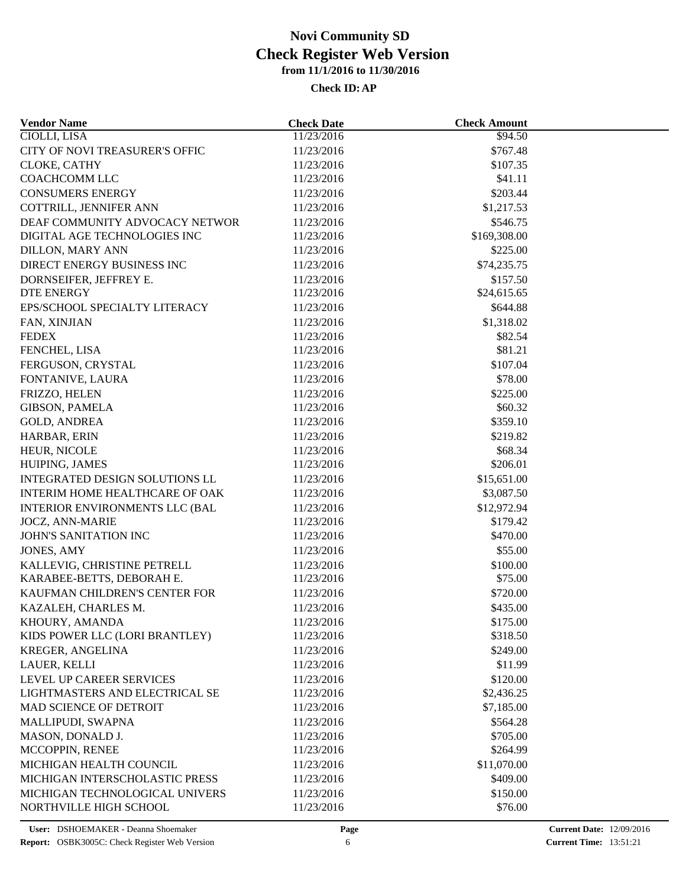| <b>Vendor Name</b>                                       | <b>Check Date</b>        | <b>Check Amount</b> |  |
|----------------------------------------------------------|--------------------------|---------------------|--|
| <b>CIOLLI, LISA</b>                                      | 11/23/2016               | \$94.50             |  |
| CITY OF NOVI TREASURER'S OFFIC                           | 11/23/2016               | \$767.48            |  |
| CLOKE, CATHY                                             | 11/23/2016               | \$107.35            |  |
| COACHCOMM LLC                                            | 11/23/2016               | \$41.11             |  |
| <b>CONSUMERS ENERGY</b>                                  | 11/23/2016               | \$203.44            |  |
| COTTRILL, JENNIFER ANN                                   | 11/23/2016               | \$1,217.53          |  |
| DEAF COMMUNITY ADVOCACY NETWOR                           | 11/23/2016               | \$546.75            |  |
| DIGITAL AGE TECHNOLOGIES INC                             | 11/23/2016               | \$169,308.00        |  |
| <b>DILLON, MARY ANN</b>                                  | 11/23/2016               | \$225.00            |  |
| DIRECT ENERGY BUSINESS INC                               | 11/23/2016               | \$74,235.75         |  |
| DORNSEIFER, JEFFREY E.                                   | 11/23/2016               | \$157.50            |  |
| DTE ENERGY                                               | 11/23/2016               | \$24,615.65         |  |
| EPS/SCHOOL SPECIALTY LITERACY                            | 11/23/2016               | \$644.88            |  |
| FAN, XINJIAN                                             | 11/23/2016               | \$1,318.02          |  |
| <b>FEDEX</b>                                             | 11/23/2016               | \$82.54             |  |
| FENCHEL, LISA                                            | 11/23/2016               | \$81.21             |  |
| FERGUSON, CRYSTAL                                        | 11/23/2016               | \$107.04            |  |
| FONTANIVE, LAURA                                         | 11/23/2016               | \$78.00             |  |
| FRIZZO, HELEN                                            | 11/23/2016               | \$225.00            |  |
| <b>GIBSON, PAMELA</b>                                    | 11/23/2016               | \$60.32             |  |
| <b>GOLD, ANDREA</b>                                      | 11/23/2016               | \$359.10            |  |
| HARBAR, ERIN                                             | 11/23/2016               | \$219.82            |  |
| HEUR, NICOLE                                             | 11/23/2016               | \$68.34             |  |
| HUIPING, JAMES                                           | 11/23/2016               | \$206.01            |  |
| INTEGRATED DESIGN SOLUTIONS LL                           | 11/23/2016               | \$15,651.00         |  |
| INTERIM HOME HEALTHCARE OF OAK                           | 11/23/2016               | \$3,087.50          |  |
| <b>INTERIOR ENVIRONMENTS LLC (BAL</b>                    |                          | \$12,972.94         |  |
| <b>JOCZ, ANN-MARIE</b>                                   | 11/23/2016<br>11/23/2016 | \$179.42            |  |
| JOHN'S SANITATION INC                                    | 11/23/2016               | \$470.00            |  |
|                                                          |                          |                     |  |
| JONES, AMY                                               | 11/23/2016               | \$55.00             |  |
| KALLEVIG, CHRISTINE PETRELL<br>KARABEE-BETTS, DEBORAH E. | 11/23/2016               | \$100.00            |  |
|                                                          | 11/23/2016               | \$75.00             |  |
| KAUFMAN CHILDREN'S CENTER FOR                            | 11/23/2016               | \$720.00            |  |
| KAZALEH, CHARLES M.                                      | 11/23/2016               | \$435.00            |  |
| KHOURY, AMANDA                                           | 11/23/2016               | \$175.00            |  |
| KIDS POWER LLC (LORI BRANTLEY)                           | 11/23/2016               | \$318.50            |  |
| KREGER, ANGELINA                                         | 11/23/2016               | \$249.00            |  |
| LAUER, KELLI                                             | 11/23/2016               | \$11.99             |  |
| LEVEL UP CAREER SERVICES                                 | 11/23/2016               | \$120.00            |  |
| LIGHTMASTERS AND ELECTRICAL SE                           | 11/23/2016               | \$2,436.25          |  |
| MAD SCIENCE OF DETROIT                                   | 11/23/2016               | \$7,185.00          |  |
| MALLIPUDI, SWAPNA                                        | 11/23/2016               | \$564.28            |  |
| MASON, DONALD J.                                         | 11/23/2016               | \$705.00            |  |
| MCCOPPIN, RENEE                                          | 11/23/2016               | \$264.99            |  |
| MICHIGAN HEALTH COUNCIL                                  | 11/23/2016               | \$11,070.00         |  |
| MICHIGAN INTERSCHOLASTIC PRESS                           | 11/23/2016               | \$409.00            |  |
| MICHIGAN TECHNOLOGICAL UNIVERS                           | 11/23/2016               | \$150.00            |  |
| NORTHVILLE HIGH SCHOOL                                   | 11/23/2016               | \$76.00             |  |
|                                                          |                          |                     |  |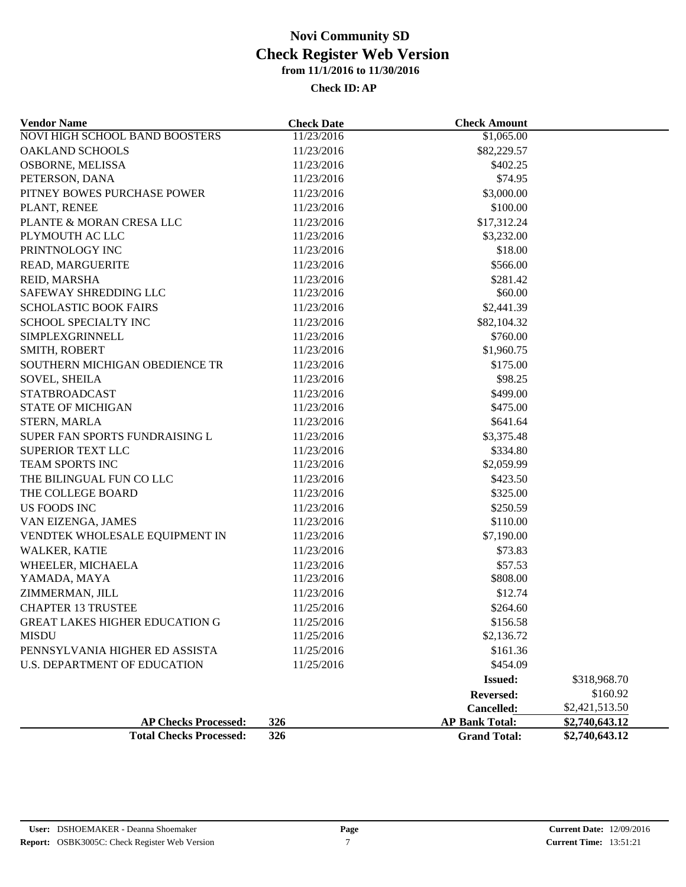| <b>Vendor Name</b>                    | <b>Check Date</b> | <b>Check Amount</b>   |                |
|---------------------------------------|-------------------|-----------------------|----------------|
| <b>NOVI HIGH SCHOOL BAND BOOSTERS</b> | 11/23/2016        | \$1,065.00            |                |
| <b>OAKLAND SCHOOLS</b>                | 11/23/2016        | \$82,229.57           |                |
| OSBORNE, MELISSA                      | 11/23/2016        | \$402.25              |                |
| PETERSON, DANA                        | 11/23/2016        | \$74.95               |                |
| PITNEY BOWES PURCHASE POWER           | 11/23/2016        | \$3,000.00            |                |
| PLANT, RENEE                          | 11/23/2016        | \$100.00              |                |
| PLANTE & MORAN CRESA LLC              | 11/23/2016        | \$17,312.24           |                |
| PLYMOUTH AC LLC                       | 11/23/2016        | \$3,232.00            |                |
| PRINTNOLOGY INC                       | 11/23/2016        | \$18.00               |                |
| READ, MARGUERITE                      | 11/23/2016        | \$566.00              |                |
| REID, MARSHA                          | 11/23/2016        | \$281.42              |                |
| SAFEWAY SHREDDING LLC                 | 11/23/2016        | \$60.00               |                |
| <b>SCHOLASTIC BOOK FAIRS</b>          | 11/23/2016        | \$2,441.39            |                |
| SCHOOL SPECIALTY INC                  | 11/23/2016        | \$82,104.32           |                |
| SIMPLEXGRINNELL                       | 11/23/2016        | \$760.00              |                |
| SMITH, ROBERT                         | 11/23/2016        | \$1,960.75            |                |
| SOUTHERN MICHIGAN OBEDIENCE TR        | 11/23/2016        | \$175.00              |                |
| <b>SOVEL, SHEILA</b>                  | 11/23/2016        | \$98.25               |                |
| <b>STATBROADCAST</b>                  | 11/23/2016        | \$499.00              |                |
| <b>STATE OF MICHIGAN</b>              | 11/23/2016        | \$475.00              |                |
| <b>STERN, MARLA</b>                   | 11/23/2016        | \$641.64              |                |
| SUPER FAN SPORTS FUNDRAISING L        | 11/23/2016        | \$3,375.48            |                |
| SUPERIOR TEXT LLC                     | 11/23/2016        | \$334.80              |                |
| TEAM SPORTS INC                       | 11/23/2016        | \$2,059.99            |                |
| THE BILINGUAL FUN CO LLC              | 11/23/2016        | \$423.50              |                |
| THE COLLEGE BOARD                     | 11/23/2016        | \$325.00              |                |
| US FOODS INC                          | 11/23/2016        | \$250.59              |                |
| VAN EIZENGA, JAMES                    | 11/23/2016        | \$110.00              |                |
| VENDTEK WHOLESALE EQUIPMENT IN        | 11/23/2016        | \$7,190.00            |                |
| WALKER, KATIE                         | 11/23/2016        | \$73.83               |                |
| WHEELER, MICHAELA                     | 11/23/2016        | \$57.53               |                |
| YAMADA, MAYA                          | 11/23/2016        | \$808.00              |                |
| ZIMMERMAN, JILL                       | 11/23/2016        | \$12.74               |                |
| <b>CHAPTER 13 TRUSTEE</b>             | 11/25/2016        | \$264.60              |                |
| <b>GREAT LAKES HIGHER EDUCATION G</b> | 11/25/2016        | \$156.58              |                |
| <b>MISDU</b>                          | 11/25/2016        | \$2,136.72            |                |
| PENNSYLVANIA HIGHER ED ASSISTA        | 11/25/2016        | \$161.36              |                |
| <b>U.S. DEPARTMENT OF EDUCATION</b>   | 11/25/2016        | \$454.09              |                |
|                                       |                   | <b>Issued:</b>        | \$318,968.70   |
|                                       |                   | <b>Reversed:</b>      | \$160.92       |
|                                       |                   | Cancelled:            | \$2,421,513.50 |
| <b>AP Checks Processed:</b>           | 326               | <b>AP Bank Total:</b> | \$2,740,643.12 |
| <b>Total Checks Processed:</b>        | 326               | <b>Grand Total:</b>   | \$2,740,643.12 |